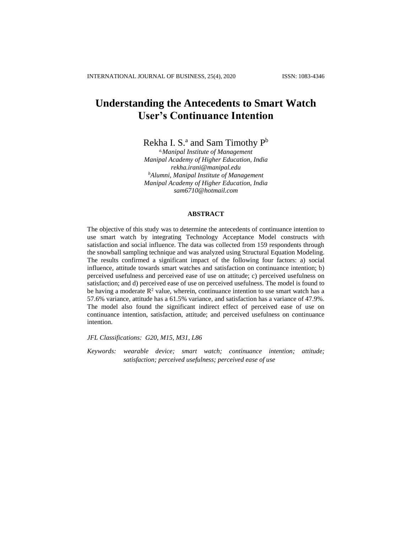# **Understanding the Antecedents to Smart Watch User's Continuance Intention**

Rekha I. S.<sup>a</sup> and Sam Timothy P<sup>b</sup>

*a,Manipal Institute of Management Manipal Academy of Higher Education, India [rekha.irani@manipal.edu](mailto:rekha.irani@manipal.edu) <sup>b</sup>Alumni, Manipal Institute of Management Manipal Academy of Higher Education, India sam6710@hotmail.com*

# **ABSTRACT**

The objective of this study was to determine the antecedents of continuance intention to use smart watch by integrating Technology Acceptance Model constructs with satisfaction and social influence. The data was collected from 159 respondents through the snowball sampling technique and was analyzed using Structural Equation Modeling. The results confirmed a significant impact of the following four factors: a) social influence, attitude towards smart watches and satisfaction on continuance intention; b) perceived usefulness and perceived ease of use on attitude; c) perceived usefulness on satisfaction; and d) perceived ease of use on perceived usefulness. The model is found to be having a moderate  $\mathbb{R}^2$  value, wherein, continuance intention to use smart watch has a 57.6% variance, attitude has a 61.5% variance, and satisfaction has a variance of 47.9%. The model also found the significant indirect effect of perceived ease of use on continuance intention, satisfaction, attitude; and perceived usefulness on continuance intention.

*JFL Classifications: G20, M15, M31, L86*

*Keywords: wearable device; smart watch; continuance intention; attitude; satisfaction; perceived usefulness; perceived ease of use*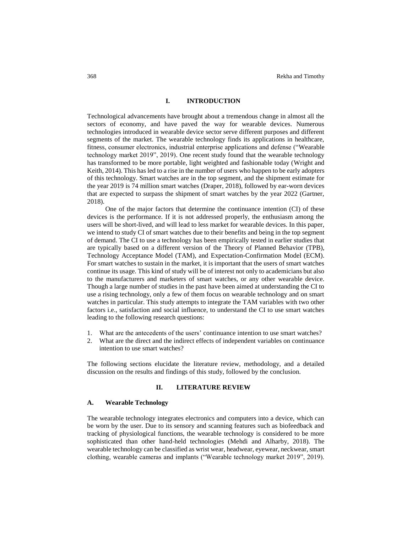#### **I. INTRODUCTION**

Technological advancements have brought about a tremendous change in almost all the sectors of economy, and have paved the way for wearable devices. Numerous technologies introduced in wearable device sector serve different purposes and different segments of the market. The wearable technology finds its applications in healthcare, fitness, consumer electronics, industrial enterprise applications and defense ("Wearable technology market 2019", 2019). One recent study found that the wearable technology has transformed to be more portable, light weighted and fashionable today (Wright and Keith, 2014). This has led to a rise in the number of users who happen to be early adopters of this technology. Smart watches are in the top segment, and the shipment estimate for the year 2019 is 74 million smart watches [\(Draper,](https://www.wearable-technologies.com/author/sal/) 2018), followed by ear-worn devices that are expected to surpass the shipment of smart watches by the year 2022 (Gartner, 2018).

One of the major factors that determine the continuance intention (CI) of these devices is the performance. If it is not addressed properly, the enthusiasm among the users will be short-lived, and will lead to less market for wearable devices. In this paper, we intend to study CI of smart watches due to their benefits and being in the top segment of demand. The CI to use a technology has been empirically tested in earlier studies that are typically based on a different version of the Theory of Planned Behavior (TPB), Technology Acceptance Model (TAM), and Expectation-Confirmation Model (ECM). For smart watches to sustain in the market, it is important that the users of smart watches continue its usage. This kind of study will be of interest not only to academicians but also to the manufacturers and marketers of smart watches, or any other wearable device. Though a large number of studies in the past have been aimed at understanding the CI to use a rising technology, only a few of them focus on wearable technology and on smart watches in particular. This study attempts to integrate the TAM variables with two other factors i.e., satisfaction and social influence, to understand the CI to use smart watches leading to the following research questions:

- 1. What are the antecedents of the users' continuance intention to use smart watches?
- 2. What are the direct and the indirect effects of independent variables on continuance intention to use smart watches?

The following sections elucidate the literature review, methodology, and a detailed discussion on the results and findings of this study, followed by the conclusion.

# **II. LITERATURE REVIEW**

#### **A. Wearable Technology**

The wearable technology integrates electronics and computers into a device, which can be worn by the user. Due to its sensory and scanning features such as biofeedback and tracking of physiological functions, the wearable technology is considered to be more sophisticated than other hand-held technologies (Mehdi and Alharby, 2018). The wearable technology can be classified as wrist wear, headwear, eyewear, neckwear, smart clothing, wearable cameras and implants ("Wearable technology market 2019", 2019).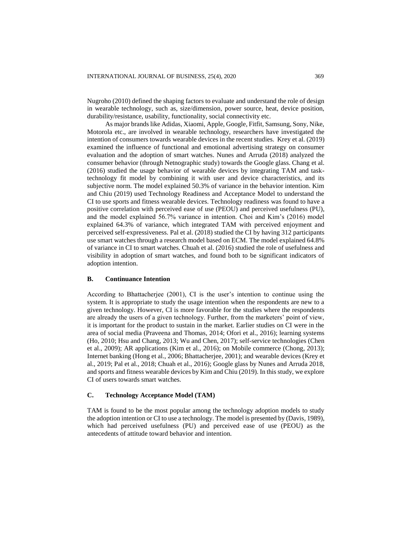Nugroho (2010) defined the shaping factors to evaluate and understand the role of design in wearable technology, such as, size/dimension, power source, heat, device position, durability/resistance, usability, functionality, social connectivity etc.

As major brands like Adidas, Xiaomi, Apple, Google, Fitfit, Samsung, Sony, Nike, Motorola etc., are involved in wearable technology, researchers have investigated the intention of consumers towards wearable devices in the recent studies. Krey et al. (2019) examined the influence of functional and emotional advertising strategy on consumer evaluation and the adoption of smart watches. Nunes and Arruda (2018) analyzed the consumer behavior (through Netnographic study) towards the Google glass. Chang et al. (2016) studied the usage behavior of wearable devices by integrating TAM and tasktechnology fit model by combining it with user and device characteristics, and its subjective norm. The model explained 50.3% of variance in the behavior intention. Kim and Chiu (2019) used Technology Readiness and Acceptance Model to understand the CI to use sports and fitness wearable devices. Technology readiness was found to have a positive correlation with perceived ease of use (PEOU) and perceived usefulness (PU), and the model explained 56.7% variance in intention. Choi and Kim's (2016) model explained 64.3% of variance, which integrated TAM with perceived enjoyment and perceived self-expressiveness. Pal et al. (2018) studied the CI by having 312 participants use smart watches through a research model based on ECM. The model explained 64.8% of variance in CI to smart watches. Chuah et al. (2016) studied the role of usefulness and visibility in adoption of smart watches, and found both to be significant indicators of adoption intention.

## **B. Continuance Intention**

According to Bhattacherjee (2001), CI is the user's intention to continue using the system. It is appropriate to study the usage intention when the respondents are new to a given technology. However, CI is more favorable for the studies where the respondents are already the users of a given technology. Further, from the marketers' point of view, it is important for the product to sustain in the market. Earlier studies on CI were in the area of social media (Praveena and Thomas, 2014; Ofori et al., 2016); learning systems (Ho, 2010; Hsu and Chang, 2013; Wu and Chen, 2017); self-service technologies (Chen et al., 2009); AR applications (Kim et al., 2016); on Mobile commerce (Chong, 2013); Internet banking (Hong et al., 2006; Bhattacherjee, 2001); and wearable devices (Krey et al., 2019; Pal et al., 2018; Chuah et al., 2016); Google glass by Nunes and Arruda 2018, and sports and fitness wearable devices by Kim and Chiu (2019). In this study, we explore CI of users towards smart watches.

# **C. Technology Acceptance Model (TAM)**

TAM is found to be the most popular among the technology adoption models to study the adoption intention or CI to use a technology. The model is presented by (Davis, 1989), which had perceived usefulness (PU) and perceived ease of use (PEOU) as the antecedents of attitude toward behavior and intention.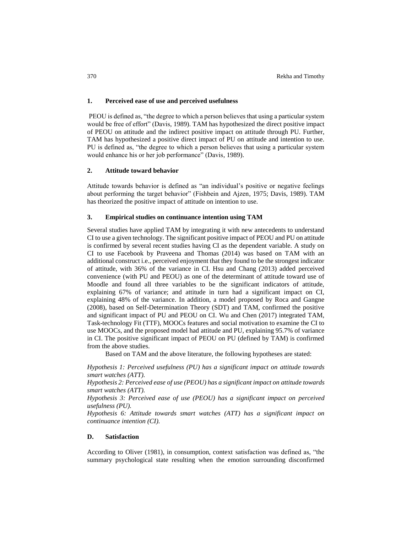## **1. Perceived ease of use and perceived usefulness**

PEOU is defined as, "the degree to which a person believes that using a particular system would be free of effort" (Davis, 1989). TAM has hypothesized the direct positive impact of PEOU on attitude and the indirect positive impact on attitude through PU. Further, TAM has hypothesized a positive direct impact of PU on attitude and intention to use. PU is defined as, "the degree to which a person believes that using a particular system would enhance his or her job performance" (Davis, 1989).

# **2. Attitude toward behavior**

Attitude towards behavior is defined as "an individual's positive or negative feelings about performing the target behavior" (Fishbein and Ajzen, 1975; Davis, 1989). TAM has theorized the positive impact of attitude on intention to use.

## **3. Empirical studies on continuance intention using TAM**

Several studies have applied TAM by integrating it with new antecedents to understand CI to use a given technology. The significant positive impact of PEOU and PU on attitude is confirmed by several recent studies having CI as the dependent variable. A study on CI to use Facebook by Praveena and Thomas (2014) was based on TAM with an additional construct i.e., perceived enjoyment that they found to be the strongest indicator of attitude, with 36% of the variance in CI. Hsu and Chang (2013) added perceived convenience (with PU and PEOU) as one of the determinant of attitude toward use of Moodle and found all three variables to be the significant indicators of attitude, explaining 67% of variance; and attitude in turn had a significant impact on CI, explaining 48% of the variance. In addition, a model proposed by Roca and Gangne (2008), based on Self-Determination Theory (SDT) and TAM, confirmed the positive and significant impact of PU and PEOU on CI. Wu and Chen (2017) integrated TAM, Task-technology Fit (TTF), MOOCs features and social motivation to examine the CI to use MOOCs, and the proposed model had attitude and PU, explaining 95.7% of variance in CI. The positive significant impact of PEOU on PU (defined by TAM) is confirmed from the above studies.

Based on TAM and the above literature, the following hypotheses are stated:

*Hypothesis 1: Perceived usefulness (PU) has a significant impact on attitude towards smart watches (ATT).*

*Hypothesis 2: Perceived ease of use (PEOU) has a significant impact on attitude towards smart watches (ATT).*

*Hypothesis 3: Perceived ease of use (PEOU) has a significant impact on perceived usefulness (PU).*

*Hypothesis 6: Attitude towards smart watches (ATT) has a significant impact on continuance intention (CI).*

# **D. Satisfaction**

According to Oliver (1981), in consumption, context satisfaction was defined as, "the summary psychological state resulting when the emotion surrounding disconfirmed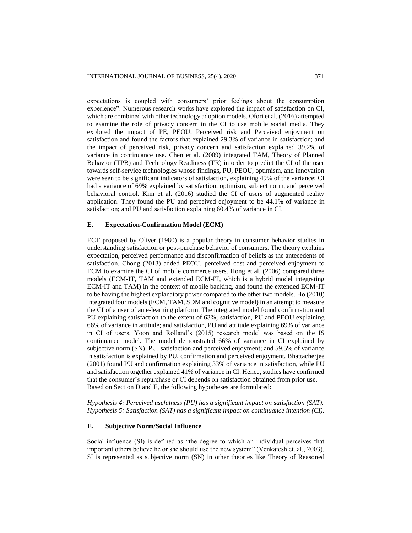expectations is coupled with consumers' prior feelings about the consumption experience". Numerous research works have explored the impact of satisfaction on CI, which are combined with other technology adoption models. Ofori et al. (2016) attempted to examine the role of privacy concern in the CI to use mobile social media. They explored the impact of PE, PEOU, Perceived risk and Perceived enjoyment on satisfaction and found the factors that explained 29.3% of variance in satisfaction; and the impact of perceived risk, privacy concern and satisfaction explained 39.2% of variance in continuance use. Chen et al. (2009) integrated TAM, Theory of Planned Behavior (TPB) and Technology Readiness (TR) in order to predict the CI of the user towards self-service technologies whose findings, PU, PEOU, optimism, and innovation were seen to be significant indicators of satisfaction, explaining 49% of the variance; CI had a variance of 69% explained by satisfaction, optimism, subject norm, and perceived behavioral control. Kim et al. (2016) studied the CI of users of augmented reality application. They found the PU and perceived enjoyment to be 44.1% of variance in satisfaction; and PU and satisfaction explaining 60.4% of variance in CI.

## **E. Expectation-Confirmation Model (ECM)**

ECT proposed by Oliver (1980) is a popular theory in consumer behavior studies in understanding satisfaction or post-purchase behavior of consumers. The theory explains expectation, perceived performance and disconfirmation of beliefs as the antecedents of satisfaction. Chong (2013) added PEOU, perceived cost and perceived enjoyment to ECM to examine the CI of mobile commerce users. Hong et al. (2006) compared three models (ECM-IT, TAM and extended ECM-IT, which is a hybrid model integrating ECM-IT and TAM) in the context of mobile banking, and found the extended ECM-IT to be having the highest explanatory power compared to the other two models. Ho (2010) integrated four models (ECM, TAM, SDM and cognitive model) in an attempt to measure the CI of a user of an e-learning platform. The integrated model found confirmation and PU explaining satisfaction to the extent of 63%; satisfaction, PU and PEOU explaining 66% of variance in attitude; and satisfaction, PU and attitude explaining 69% of variance in CI of users. Yoon and Rolland's (2015) research model was based on the IS continuance model. The model demonstrated 66% of variance in CI explained by subjective norm (SN), PU, satisfaction and perceived enjoyment; and 59.5% of variance in satisfaction is explained by PU, confirmation and perceived enjoyment. Bhattacherjee (2001) found PU and confirmation explaining 33% of variance in satisfaction, while PU and satisfaction together explained 41% of variance in CI. Hence, studies have confirmed that the consumer's repurchase or CI depends on satisfaction obtained from prior use. Based on Section D and E, the following hypotheses are formulated:

*Hypothesis 4: Perceived usefulness (PU) has a significant impact on satisfaction (SAT). Hypothesis 5: Satisfaction (SAT) has a significant impact on continuance intention (CI).*

# **F. Subjective Norm/Social Influence**

Social influence (SI) is defined as "the degree to which an individual perceives that important others believe he or she should use the new system" (Venkatesh et. al., 2003). SI is represented as subjective norm (SN) in other theories like Theory of Reasoned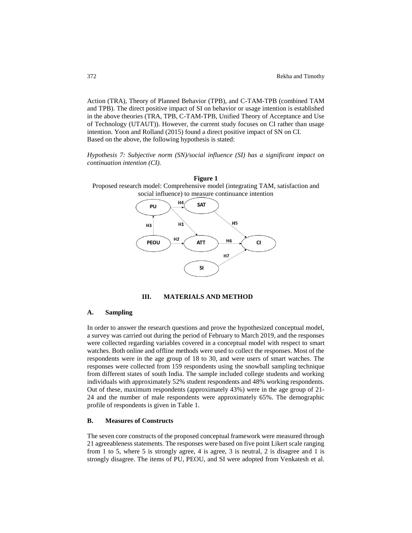Action (TRA), Theory of Planned Behavior (TPB), and C-TAM-TPB (combined TAM and TPB). The direct positive impact of SI on behavior or usage intention is established in the above theories (TRA, TPB, C-TAM-TPB, Unified Theory of Acceptance and Use of Technology (UTAUT)). However, the current study focuses on CI rather than usage intention. Yoon and Rolland (2015) found a direct positive impact of SN on CI. Based on the above, the following hypothesis is stated:

*Hypothesis 7: Subjective norm (SN)/social influence (SI) has a significant impact on continuation intention (CI).*



**III. MATERIALS AND METHOD**

# **A. Sampling**

In order to answer the research questions and prove the hypothesized conceptual model, a survey was carried out during the period of February to March 2019, and the responses were collected regarding variables covered in a conceptual model with respect to smart watches. Both online and offline methods were used to collect the responses. Most of the respondents were in the age group of 18 to 30, and were users of smart watches. The responses were collected from 159 respondents using the snowball sampling technique from different states of south India. The sample included college students and working individuals with approximately 52% student respondents and 48% working respondents. Out of these, maximum respondents (approximately 43%) were in the age group of 21- 24 and the number of male respondents were approximately 65%. The demographic profile of respondents is given in Table 1.

# **B. Measures of Constructs**

The seven core constructs of the proposed conceptual framework were measured through 21 agreeableness statements. The responses were based on five point Likert scale ranging from 1 to 5, where 5 is strongly agree, 4 is agree, 3 is neutral, 2 is disagree and 1 is strongly disagree. The items of PU, PEOU, and SI were adopted from Venkatesh et al.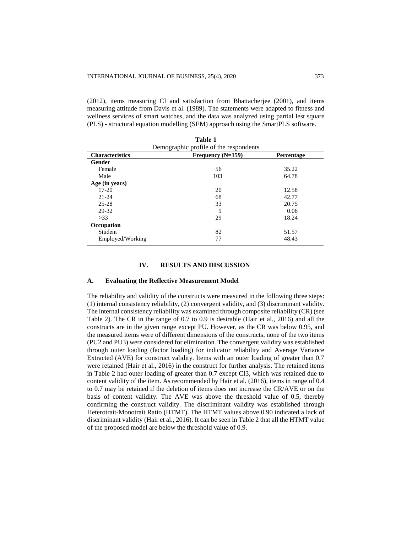(2012), items measuring CI and satisfaction from Bhattacherjee (2001), and items measuring attitude from Davis et al. (1989). The statements were adapted to fitness and wellness services of smart watches, and the data was analyzed using partial lest square (PLS) - structural equation modelling (SEM) approach using the SmartPLS software.

| Table 1<br>Demographic profile of the respondents |                   |            |  |  |  |
|---------------------------------------------------|-------------------|------------|--|--|--|
| <b>Characteristics</b>                            | Frequency (N=159) | Percentage |  |  |  |
| <b>Gender</b>                                     |                   |            |  |  |  |
| Female                                            | 56                | 35.22      |  |  |  |
| Male                                              | 103               | 64.78      |  |  |  |
| Age (in years)                                    |                   |            |  |  |  |
| $17 - 20$                                         | 20                | 12.58      |  |  |  |
| $21 - 24$                                         | 68                | 42.77      |  |  |  |
| $25 - 28$                                         | 33                | 20.75      |  |  |  |
| 29-32                                             | 9                 | 0.06       |  |  |  |
| >33                                               | 29                | 18.24      |  |  |  |
| Occupation                                        |                   |            |  |  |  |
| Student                                           | 82                | 51.57      |  |  |  |
| Employed/Working                                  | 77                | 48.43      |  |  |  |

#### **IV. RESULTS AND DISCUSSION**

#### **A. Evaluating the Reflective Measurement Model**

The reliability and validity of the constructs were measured in the following three steps: (1) internal consistency reliability, (2) convergent validity, and (3) discriminant validity. The internal consistency reliability was examined through composite reliability (CR) (see Table 2). The CR in the range of 0.7 to 0.9 is desirable (Hair et al., 2016) and all the constructs are in the given range except PU. However, as the CR was below 0.95, and the measured items were of different dimensions of the constructs, none of the two items (PU2 and PU3) were considered for elimination. The convergent validity was established through outer loading (factor loading) for indicator reliability and Average Variance Extracted (AVE) for construct validity. Items with an outer loading of greater than 0.7 were retained (Hair et al., 2016) in the construct for further analysis. The retained items in Table 2 had outer loading of greater than 0.7 except CI3, which was retained due to content validity of the item. As recommended by Hair et al. (2016), items in range of 0.4 to 0.7 may be retained if the deletion of items does not increase the CR/AVE or on the basis of content validity. The AVE was above the threshold value of 0.5, thereby confirming the construct validity. The discriminant validity was established through Heterotrait-Monotrait Ratio (HTMT). The HTMT values above 0.90 indicated a lack of discriminant validity (Hair et al., 2016). It can be seen in Table 2 that all the HTMT value of the proposed model are below the threshold value of 0.9.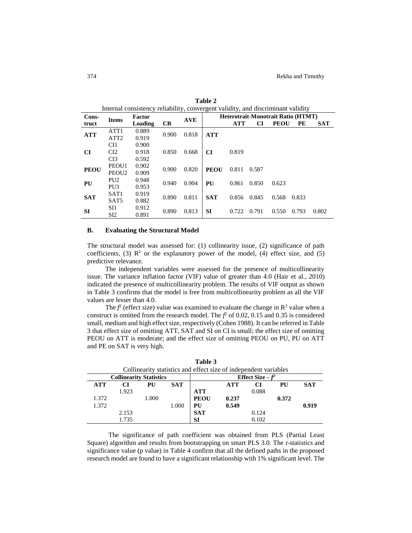| Internal consistency reliability, convergent validity, and discriminant validity |                   |         |       |                      |                                           |            |       |             |       |            |
|----------------------------------------------------------------------------------|-------------------|---------|-------|----------------------|-------------------------------------------|------------|-------|-------------|-------|------------|
| Cons-<br><b>Items</b>                                                            |                   | Factor  |       | <b>AVE</b>           | <b>Heterotrait-Monotrait Ratio (HTMT)</b> |            |       |             |       |            |
| truct                                                                            |                   | Loading | CR    |                      |                                           | <b>ATT</b> | CI    | <b>PEOU</b> | PЕ    | <b>SAT</b> |
| <b>ATT</b>                                                                       | ATT <sub>1</sub>  | 0.889   | 0.900 | 0.818                | <b>ATT</b>                                |            |       |             |       |            |
|                                                                                  | ATT <sub>2</sub>  | 0.919   |       |                      |                                           |            |       |             |       |            |
|                                                                                  | CI1               | 0.900   |       |                      |                                           |            |       |             |       |            |
| <b>CI</b>                                                                        | CI2               | 0.918   | 0.850 | 0.668                | CI                                        | 0.819      |       |             |       |            |
|                                                                                  | CI3               | 0.592   |       |                      |                                           |            |       |             |       |            |
| <b>PEOU</b>                                                                      | PEOU1             | 0.902   | 0.900 | 0.820                | <b>PEOU</b>                               | 0.811      | 0.587 |             |       |            |
|                                                                                  | PEOU <sub>2</sub> | 0.909   |       |                      |                                           |            |       |             |       |            |
| PU                                                                               | PU <sub>2</sub>   | 0.948   |       | PU<br>0.904<br>0.940 |                                           | 0.861      | 0.850 | 0.623       |       |            |
|                                                                                  | PU <sub>3</sub>   | 0.953   |       |                      |                                           |            |       |             |       |            |
| <b>SAT</b>                                                                       | SAT <sub>1</sub>  | 0.919   |       | 0.811<br>0.890       | <b>SAT</b>                                | 0.856      | 0.845 | 0.568       | 0.833 |            |
|                                                                                  | SAT <sub>5</sub>  | 0.882   |       |                      |                                           |            |       |             |       |            |
|                                                                                  | SI1               | 0.912   | 0.890 | 0.813                | SI                                        | 0.722      | 0.791 | 0.550       | 0.793 | 0.802      |
| SI                                                                               | SI <sub>2</sub>   | 0.891   |       |                      |                                           |            |       |             |       |            |

**Table 2** Internal consistency reliability, convergent validity, and discriminant validity

# **B. Evaluating the Structural Model**

The structural model was assessed for: (1) collinearity issue, (2) significance of path coefficients, (3)  $\mathbb{R}^2$  or the explanatory power of the model, (4) effect size, and (5) predictive relevance.

The independent variables were assessed for the presence of multicollinearity issue. The variance inflation factor (VIF) value of greater than 4.0 (Hair et al., 2010) indicated the presence of multicollinearity problem. The results of VIF output as shown in Table 3 confirms that the model is free from multicollinearity problem as all the VIF values are lesser than 4.0.

The  $f^2$  (effect size) value was examined to evaluate the change in  $\mathbb{R}^2$  value when a construct is omitted from the research model. The  $f^2$  of 0.02, 0.15 and 0.35 is considered small, medium and high effect size, respectively (Cohen 1988). It can be referred in Table 3 that effect size of omitting ATT, SAT and SI on CI is small; the effect size of omitting PEOU on ATT is moderate; and the effect size of omitting PEOU on PU, PU on ATT and PE on SAT is very high.

| Collinearity statistics and effect size of independent variables |       |       |       |             |                    |       |       |            |
|------------------------------------------------------------------|-------|-------|-------|-------------|--------------------|-------|-------|------------|
| <b>Collinearity Statistics</b>                                   |       |       |       |             | Effect Size $-f^2$ |       |       |            |
| <b>ATT</b>                                                       | CI    | PU    | SAT   |             | ATT                | CІ    | PU    | <b>SAT</b> |
|                                                                  | 1.923 |       |       | <b>ATT</b>  |                    | 0.088 |       |            |
| 1.372                                                            |       | 1.000 |       | <b>PEOU</b> | 0.237              |       | 0.372 |            |
| 1.372                                                            |       |       | 1.000 | PU          | 0.549              |       |       | 0.919      |
|                                                                  | 2.153 |       |       | <b>SAT</b>  |                    | 0.124 |       |            |
|                                                                  | 1.735 |       |       | SI          |                    | 0.102 |       |            |

**Table 3**

The significance of path coefficient was obtained from PLS (Partial Least Square) algorithm and results from bootstrapping on smart PLS 3.0. The *t*-statistics and significance value (p value) in Table 4 confirm that all the defined paths in the proposed research model are found to have a significant relationship with 1% significant level. The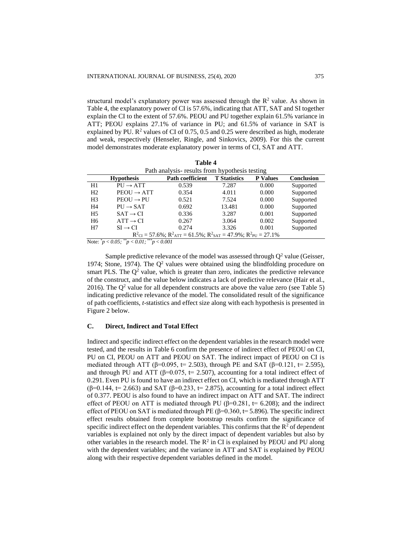structural model's explanatory power was assessed through the  $\mathbb{R}^2$  value. As shown in Table 4, the explanatory power of CI is 57.6%, indicating that ATT, SAT and SI together explain the CI to the extent of 57.6%. PEOU and PU together explain 61.5% variance in ATT; PEOU explains 27.1% of variance in PU; and 61.5% of variance in SAT is explained by PU.  $\mathbb{R}^2$  values of CI of 0.75, 0.5 and 0.25 were described as high, moderate and weak, respectively (Henseler, Ringle, and Sinkovics, 2009). For this the current model demonstrates moderate explanatory power in terms of CI, SAT and ATT.

**Table 4**

| Path analysis- results from hypothesis testing                                                                       |                        |                         |                     |                 |            |  |
|----------------------------------------------------------------------------------------------------------------------|------------------------|-------------------------|---------------------|-----------------|------------|--|
|                                                                                                                      | <b>Hypothesis</b>      | <b>Path coefficient</b> | <b>T</b> Statistics | <b>P</b> Values | Conclusion |  |
| H1                                                                                                                   | $PU \rightarrow ATT$   | 0.539                   | 7.287               | 0.000           | Supported  |  |
| H <sub>2</sub>                                                                                                       | $PEOU \rightarrow ATT$ | 0.354                   | 4.011               | 0.000           | Supported  |  |
| H <sub>3</sub>                                                                                                       | $PEOU \rightarrow PU$  | 0.521                   | 7.524               | 0.000           | Supported  |  |
| H <sub>4</sub>                                                                                                       | $PU \rightarrow SAT$   | 0.692                   | 13.481              | 0.000           | Supported  |  |
| H <sub>5</sub>                                                                                                       | $SAT \rightarrow CI$   | 0.336                   | 3.287               | 0.001           | Supported  |  |
| H <sub>6</sub>                                                                                                       | $ATT \rightarrow CI$   | 0.267                   | 3.064               | 0.002           | Supported  |  |
| H7                                                                                                                   | $SI \rightarrow CI$    | 0.274                   | 3.326               | 0.001           | Supported  |  |
| $R^2$ <sub>CI</sub> = 57.6%; $R^2$ <sub>ATT</sub> = 61.5%; $R^2$ <sub>SAT</sub> = 47.9%; $R^2$ <sub>PU</sub> = 27.1% |                        |                         |                     |                 |            |  |

Note:  $\degree p < 0.05$ ;  $\degree \degree p < 0.01$ ;  $\degree \degree p < 0.001$ 

Sample predictive relevance of the model was assessed through  $O<sup>2</sup>$  value (Geisser, 1974; Stone, 1974). The  $Q^2$  values were obtained using the blindfolding procedure on smart PLS. The  $Q<sup>2</sup>$  value, which is greater than zero, indicates the predictive relevance of the construct, and the value below indicates a lack of predictive relevance (Hair et al., 2016). The  $Q^2$  value for all dependent constructs are above the value zero (see Table 5) indicating predictive relevance of the model. The consolidated result of the significance of path coefficients, *t*-statistics and effect size along with each hypothesis is presented in Figure 2 below.

# **C. Direct, Indirect and Total Effect**

Indirect and specific indirect effect on the dependent variables in the research model were tested, and the results in Table 6 confirm the presence of indirect effect of PEOU on CI, PU on CI, PEOU on ATT and PEOU on SAT. The indirect impact of PEOU on CI is mediated through ATT (β=0.095, t= 2.503), through PE and SAT (β=0.121, t= 2.595), and through PU and ATT ( $\beta$ =0.075, t= 2.507), accounting for a total indirect effect of 0.291. Even PU is found to have an indirect effect on CI, which is mediated through ATT ( $\beta$ =0.144, t= 2.663) and SAT ( $\beta$ =0.233, t= 2.875), accounting for a total indirect effect of 0.377. PEOU is also found to have an indirect impact on ATT and SAT. The indirect effect of PEOU on ATT is mediated through PU ( $\beta$ =0.281, t= 6.208); and the indirect effect of PEOU on SAT is mediated through PE ( $\beta$ =0.360, t= 5.896). The specific indirect effect results obtained from complete bootstrap results confirm the significance of specific indirect effect on the dependent variables. This confirms that the  $R<sup>2</sup>$  of dependent variables is explained not only by the direct impact of dependent variables but also by other variables in the research model. The  $R^2$  in CI is explained by PEOU and PU along with the dependent variables; and the variance in ATT and SAT is explained by PEOU along with their respective dependent variables defined in the model.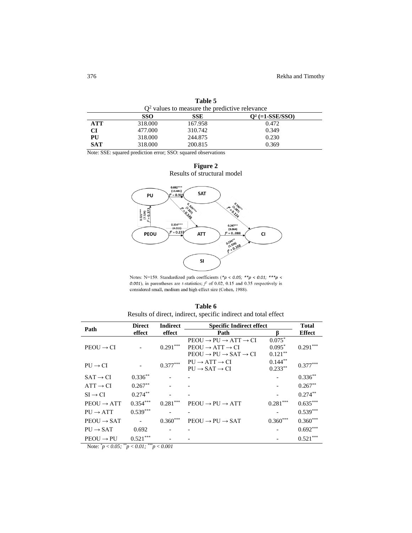| $Q2$ values to measure the predictive relevance |         |         |                             |  |  |
|-------------------------------------------------|---------|---------|-----------------------------|--|--|
|                                                 | SSO     | SSE     | 0 <sup>2</sup> (=1-SSE/SSO) |  |  |
| <b>ATT</b>                                      | 318,000 | 167.958 | 0.472                       |  |  |
| СI                                              | 477.000 | 310.742 | 0.349                       |  |  |
| PU                                              | 318,000 | 244.875 | 0.230                       |  |  |
| <b>SAT</b>                                      | 318,000 | 200.815 | 0.369                       |  |  |

**Table 5**

Note: SSE: squared prediction error; SSO: squared observations





Notes: N=159. Standardized path coefficients (\*p < 0.05; \*\*p < 0.01; \*\*\*p < 0.001), in parentheses are *t*-statistics;  $f^2$  of 0.02, 0.15 and 0.35 respectively is considered small, medium and high effect size (Cohen, 1988).

**Table 6** Results of direct, indirect, specific indirect and total effect

| <b>Direct</b><br>Path                                                                                  |                          | <b>Indirect</b><br><b>Specific Indirect effect</b> |                                                      |            | <b>Total</b>  |
|--------------------------------------------------------------------------------------------------------|--------------------------|----------------------------------------------------|------------------------------------------------------|------------|---------------|
|                                                                                                        | effect                   | effect                                             | Path                                                 | ß          | <b>Effect</b> |
|                                                                                                        |                          |                                                    | $PEOU \rightarrow PU \rightarrow ATT \rightarrow CI$ | $0.075*$   |               |
| $PEOU \rightarrow CI$                                                                                  |                          | $0.291***$                                         | $PEOU \rightarrow ATT \rightarrow CI$                | $0.095*$   | $0.291***$    |
|                                                                                                        |                          |                                                    | $PEOU \rightarrow PU \rightarrow SAT \rightarrow CI$ | $0.121***$ |               |
| $PU \rightarrow CI$                                                                                    |                          | $0.377***$                                         | $PU \rightarrow ATT \rightarrow CI$                  | $0.144***$ | $0.377***$    |
|                                                                                                        |                          |                                                    | $PU \rightarrow SAT \rightarrow CI$                  | $0.233**$  |               |
| $SAT \rightarrow CI$                                                                                   | $0.336**$                |                                                    |                                                      |            | $0.336**$     |
| $ATT \rightarrow CI$                                                                                   | $0.267**$                |                                                    |                                                      |            | $0.267**$     |
| $SI \rightarrow CI$                                                                                    | $0.274***$               |                                                    |                                                      |            | $0.274**$     |
| $PEOU \rightarrow ATT$                                                                                 | $0.354***$               | $0.281***$                                         | $PEOU \rightarrow PU \rightarrow ATT$                | $0.281***$ | $0.635***$    |
| $PU \rightarrow ATT$                                                                                   | $0.539***$               |                                                    |                                                      |            | $0.539***$    |
| $PEOU \rightarrow SAT$                                                                                 |                          | $0.360***$                                         | $PEOU \rightarrow PU \rightarrow SAT$                | $0.360***$ | $0.360***$    |
| $PU \rightarrow SAT$                                                                                   | 0.692                    |                                                    |                                                      |            | $0.692***$    |
| $PEOU \rightarrow PU$<br>$\mathbf{r}$ $\mathbf{r}$ $\mathbf{r}$ $\mathbf{r}$ $\mathbf{r}$ $\mathbf{r}$ | $0.521***$<br>$0.01$ *** |                                                    |                                                      |            | $0.521***$    |

Note: *\*p* < *0.05; \*\*p* < *0.01; \*\*\*p* < *0.001*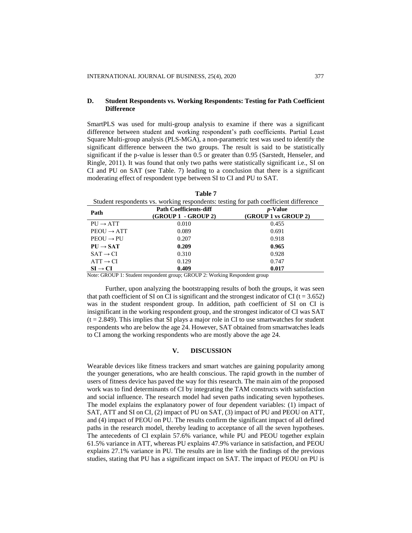# **D. Student Respondents vs. Working Respondents: Testing for Path Coefficient Difference**

SmartPLS was used for multi-group analysis to examine if there was a significant difference between student and working respondent's path coefficients. Partial Least Square Multi-group analysis (PLS-MGA), a non-parametric test was used to identify the significant difference between the two groups. The result is said to be statistically significant if the p-value is lesser than 0.5 or greater than 0.95 (Sarstedt, Henseler, and Ringle, 2011). It was found that only two paths were statistically significant i.e., SI on CI and PU on SAT (see Table. 7) leading to a conclusion that there is a significant moderating effect of respondent type between SI to CI and PU to SAT.

| Student respondents vs. Working respondents, testing for path coefficient unference                                                      |                               |                      |  |  |  |  |
|------------------------------------------------------------------------------------------------------------------------------------------|-------------------------------|----------------------|--|--|--|--|
| Path                                                                                                                                     | <b>Path Coefficients-diff</b> | <i>p</i> -Value      |  |  |  |  |
|                                                                                                                                          | $(GROUP 1 - GROUP 2)$         | (GROUP 1 vs GROUP 2) |  |  |  |  |
| $PU \rightarrow ATT$                                                                                                                     | 0.010                         | 0.455                |  |  |  |  |
| $PEOU \rightarrow ATT$                                                                                                                   | 0.089                         | 0.691                |  |  |  |  |
| $PEOU \rightarrow PU$                                                                                                                    | 0.207                         | 0.918                |  |  |  |  |
| $PU \rightarrow SAT$                                                                                                                     | 0.209                         | 0.965                |  |  |  |  |
| $SAT \rightarrow CI$                                                                                                                     | 0.310                         | 0.928                |  |  |  |  |
| $ATT \rightarrow CI$                                                                                                                     | 0.129                         | 0.747                |  |  |  |  |
| $SI \rightarrow CI$                                                                                                                      | 0.409                         | 0.017                |  |  |  |  |
| $\mathbf{M}$ another $\mathbf{G}$ , $\mathbf{H}$ are $\mathbf{H}$ another $\mathbf{M}$ and $\mathbf{H}$ are $\mathbf{H}$ as $\mathbf{H}$ |                               |                      |  |  |  |  |

**Table 7** Student respondents vs. working respondents: testing for path coefficient difference

Note: GROUP 1: Student respondent group; GROUP 2: Working Respondent group

Further, upon analyzing the bootstrapping results of both the groups, it was seen that path coefficient of SI on CI is significant and the strongest indicator of CI ( $t = 3.652$ ) was in the student respondent group. In addition, path coefficient of SI on CI is insignificant in the working respondent group, and the strongest indicator of CI was SAT  $(t = 2.849)$ . This implies that SI plays a major role in CI to use smartwatches for student respondents who are below the age 24. However, SAT obtained from smartwatches leads to CI among the working respondents who are mostly above the age 24.

## **V. DISCUSSION**

Wearable devices like fitness trackers and smart watches are gaining popularity among the younger generations, who are health conscious. The rapid growth in the number of users of fitness device has paved the way for this research. The main aim of the proposed work was to find determinants of CI by integrating the TAM constructs with satisfaction and social influence. The research model had seven paths indicating seven hypotheses. The model explains the explanatory power of four dependent variables: (1) impact of SAT, ATT and SI on CI, (2) impact of PU on SAT, (3) impact of PU and PEOU on ATT, and (4) impact of PEOU on PU. The results confirm the significant impact of all defined paths in the research model, thereby leading to acceptance of all the seven hypotheses. The antecedents of CI explain 57.6% variance, while PU and PEOU together explain 61.5% variance in ATT, whereas PU explains 47.9% variance in satisfaction, and PEOU explains 27.1% variance in PU. The results are in line with the findings of the previous studies, stating that PU has a significant impact on SAT. The impact of PEOU on PU is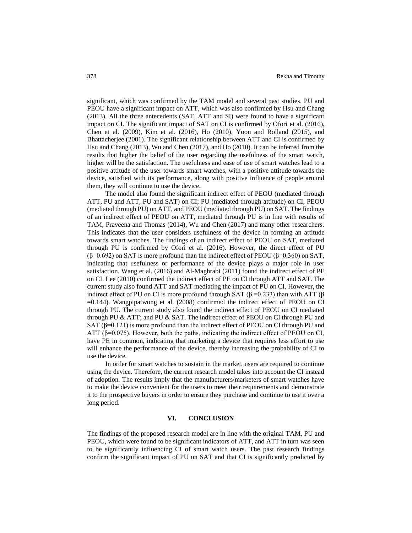significant, which was confirmed by the TAM model and several past studies. PU and PEOU have a significant impact on ATT, which was also confirmed by Hsu and Chang (2013). All the three antecedents (SAT, ATT and SI) were found to have a significant impact on CI. The significant impact of SAT on CI is confirmed by Ofori et al. (2016), Chen et al. (2009), Kim et al. (2016), Ho (2010), Yoon and Rolland (2015), and Bhattacherjee (2001). The significant relationship between ATT and CI is confirmed by Hsu and Chang (2013), Wu and Chen (2017), and Ho (2010). It can be inferred from the results that higher the belief of the user regarding the usefulness of the smart watch, higher will be the satisfaction. The usefulness and ease of use of smart watches lead to a positive attitude of the user towards smart watches, with a positive attitude towards the device, satisfied with its performance, along with positive influence of people around them, they will continue to use the device.

The model also found the significant indirect effect of PEOU (mediated through ATT, PU and ATT, PU and SAT) on CI; PU (mediated through attitude) on CI, PEOU (mediated through PU) on ATT, and PEOU (mediated through PU) on SAT. The findings of an indirect effect of PEOU on ATT, mediated through PU is in line with results of TAM, Praveena and Thomas (2014), Wu and Chen (2017) and many other researchers. This indicates that the user considers usefulness of the device in forming an attitude towards smart watches. The findings of an indirect effect of PEOU on SAT, mediated through PU is confirmed by Ofori et al. (2016). However, the direct effect of PU (β=0.692) on SAT is more profound than the indirect effect of PEOU (β=0.360) on SAT, indicating that usefulness or performance of the device plays a major role in user satisfaction. Wang et al. (2016) and Al-Maghrabi (2011) found the indirect effect of PE on CI. Lee (2010) confirmed the indirect effect of PE on CI through ATT and SAT. The current study also found ATT and SAT mediating the impact of PU on CI. However, the indirect effect of PU on CI is more profound through SAT (β = 0.233) than with ATT (β =0.144). Wangpipatwong et al. (2008) confirmed the indirect effect of PEOU on CI through PU. The current study also found the indirect effect of PEOU on CI mediated through PU & ATT; and PU & SAT. The indirect effect of PEOU on CI through PU and SAT ( $\beta$ =0.121) is more profound than the indirect effect of PEOU on CI through PU and ATT ( $\beta$ =0.075). However, both the paths, indicating the indirect effect of PEOU on CI, have PE in common, indicating that marketing a device that requires less effort to use will enhance the performance of the device, thereby increasing the probability of CI to use the device.

In order for smart watches to sustain in the market, users are required to continue using the device. Therefore, the current research model takes into account the CI instead of adoption. The results imply that the manufacturers/marketers of smart watches have to make the device convenient for the users to meet their requirements and demonstrate it to the prospective buyers in order to ensure they purchase and continue to use it over a long period.

# **VI. CONCLUSION**

The findings of the proposed research model are in line with the original TAM, PU and PEOU, which were found to be significant indicators of ATT, and ATT in turn was seen to be significantly influencing CI of smart watch users. The past research findings confirm the significant impact of PU on SAT and that CI is significantly predicted by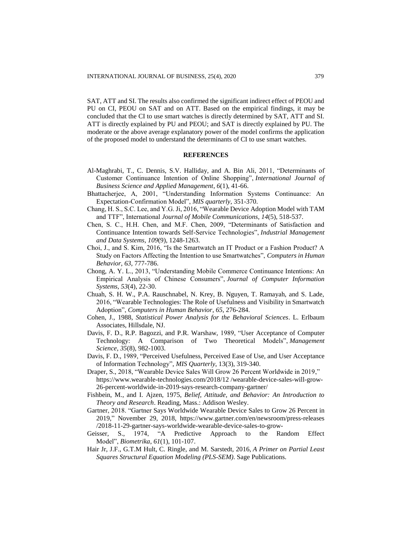SAT, ATT and SI. The results also confirmed the significant indirect effect of PEOU and PU on CI, PEOU on SAT and on ATT. Based on the empirical findings, it may be concluded that the CI to use smart watches is directly determined by SAT, ATT and SI. ATT is directly explained by PU and PEOU; and SAT is directly explained by PU. The moderate or the above average explanatory power of the model confirms the application of the proposed model to understand the determinants of CI to use smart watches.

#### **REFERENCES**

- Al-Maghrabi, T., C. Dennis, S.V. Halliday, and A. Bin Ali, 2011, "Determinants of Customer Continuance Intention of Online Shopping", *International Journal of Business Science and Applied Management*, *6*(1), 41-66.
- Bhattacherjee, A, 2001, "Understanding Information Systems Continuance: An Expectation-Confirmation Model", *MIS quarterly*, 351-370.
- Chang, H. S., S.C. Lee, and Y.G. Ji, 2016, "Wearable Device Adoption Model with TAM and TTF", International *Journal of Mobile Communications*, *14*(5), 518-537.
- Chen, S. C., H.H. Chen, and M.F. Chen, 2009, "Determinants of Satisfaction and Continuance Intention towards Self-Service Technologies", *Industrial Management and Data Systems*, *109*(9), 1248-1263.
- Choi, J., and S. Kim, 2016, "Is the Smartwatch an IT Product or a Fashion Product? A Study on Factors Affecting the Intention to use Smartwatches", *Computers in Human Behavior*, *63*, 777-786.
- Chong, A. Y. L., 2013, "Understanding Mobile Commerce Continuance Intentions: An Empirical Analysis of Chinese Consumers", *Journal of Computer Information Systems*, *53*(4), 22-30.
- Chuah, S. H. W., P.A. Rauschnabel, N. Krey, B. Nguyen, T. Ramayah, and S. Lade, 2016, "Wearable Technologies: The Role of Usefulness and Visibility in Smartwatch Adoption", *Computers in Human Behavior*, *65*, 276-284.
- Cohen, J., 1988, *Statistical Power Analysis for the Behavioral Sciences*. L. Erlbaum Associates, Hillsdale, NJ.
- Davis, F. D., R.P. Bagozzi, and P.R. Warshaw, 1989, "User Acceptance of Computer Technology: A Comparison of Two Theoretical Models", *Management Science*, *35*(8), 982-1003.
- Davis, F. D., 1989, "Perceived Usefulness, Perceived Ease of Use, and User Acceptance of Information Technology", *MIS Quarterly*, 13(3), 319-340.
- Draper, S., 2018, "Wearable Device Sales Will Grow 26 Percent Worldwide in 2019," [https://www.wearable-technologies.com/2018/12 /wearable-device-sales-will-grow-](https://www.wearable-technologies.com/2018/12%20/wearable-device-sales-will-grow-26-percent-worldwide-in-2019-says-research-company-gartner/)[26-percent-worldwide-in-2019-says-research-company-gartner/](https://www.wearable-technologies.com/2018/12%20/wearable-device-sales-will-grow-26-percent-worldwide-in-2019-says-research-company-gartner/)
- Fishbein, M., and I. Ajzen, 1975, *Belief, Attitude, and Behavior: An Introduction to Theory and Research*. Reading, Mass.: Addison Wesley.
- Gartner, 2018. "Gartner Says Worldwide Wearable Device Sales to Grow 26 Percent in 2019," November 29, 2018, [https://www.gartner.com/en/newsroom/press-releases](https://www.gartner.com/en/newsroom/press-releases%20/2018-11-29-gartner-says-worldwide-wearable-device-sales-to-grow-)  [/2018-11-29-gartner-says-worldwide-wearable-device-sales-to-grow-](https://www.gartner.com/en/newsroom/press-releases%20/2018-11-29-gartner-says-worldwide-wearable-device-sales-to-grow-)
- Geisser, S., 1974, "A Predictive Approach to the Random Effect Model", *Biometrika*, *61*(1), 101-107.
- Hair Jr, J.F., G.T.M Hult, C. Ringle, and M. Sarstedt, 2016, *A Primer on Partial Least Squares Structural Equation Modeling (PLS-SEM)*. Sage Publications.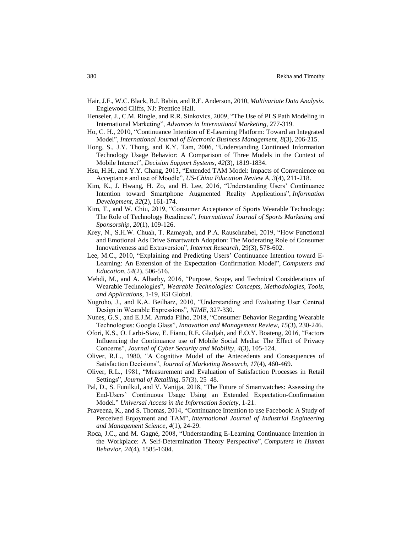- Hair, J.F., W.C. Black, B.J. Babin, and R.E. Anderson, 2010, *Multivariate Data Analysis*. Englewood Cliffs, NJ: Prentice Hall.
- Henseler, J., C.M. Ringle, and R.R. Sinkovics, 2009, "The Use of PLS Path Modeling in International Marketing", *Advances in International Marketing*, 277-319.
- Ho, C. H., 2010, "Continuance Intention of E-Learning Platform: Toward an Integrated Model", *International Journal of Electronic Business Management*, *8*(3), 206-215.
- Hong, S., J.Y. Thong, and K.Y. Tam, 2006, "Understanding Continued Information Technology Usage Behavior: A Comparison of Three Models in the Context of Mobile Internet", *Decision Support Systems*, *42*(3), 1819-1834.
- Hsu, H.H., and Y.Y. Chang, 2013, "Extended TAM Model: Impacts of Convenience on Acceptance and use of Moodle", *US-China Education Review A*, *3*(4), 211-218.
- Kim, K., J. Hwang, H. Zo, and H. Lee, 2016, "Understanding Users' Continuance Intention toward Smartphone Augmented Reality Applications", *Information Development*, *32*(2), 161-174.
- Kim, T., and W. Chiu, 2019, "Consumer Acceptance of Sports Wearable Technology: The Role of Technology Readiness", *International Journal of Sports Marketing and Sponsorship*, *20*(1), 109-126.
- Krey, N., S.H.W. Chuah, T. Ramayah, and P.A. Rauschnabel, 2019, "How Functional and Emotional Ads Drive Smartwatch Adoption: The Moderating Role of Consumer Innovativeness and Extraversion", *Internet Research*, 29(3), 578-602.
- Lee, M.C., 2010, "Explaining and Predicting Users' Continuance Intention toward E-Learning: An Extension of the Expectation–Confirmation Model", *Computers and Education*, *54*(2), 506-516.
- Mehdi, M., and A. Alharby, 2016, "Purpose, Scope, and Technical Considerations of Wearable Technologies", *Wearable Technologies: Concepts, Methodologies, Tools, and Applications*, 1-19, IGI Global.
- Nugroho, J., and K.A. Beilharz, 2010, "Understanding and Evaluating User Centred Design in Wearable Expressions", *NIME*, 327-330.
- Nunes, G.S., and E.J.M. Arruda Filho, 2018, "Consumer Behavior Regarding Wearable Technologies: Google Glass", *Innovation and Management Review*, *15*(3), 230-246.
- Ofori, K.S., O. Larbi-Siaw, E. Fianu, R.E. Gladjah, and E.O.Y. Boateng, 2016, "Factors Influencing the Continuance use of Mobile Social Media: The Effect of Privacy Concerns", *Journal of Cyber Security and Mobility*, *4*(3), 105-124.
- Oliver, R.L., 1980, "A Cognitive Model of the Antecedents and Consequences of Satisfaction Decisions", *Journal of Marketing Research*, *17*(4), 460-469.
- Oliver, R.L., 1981, "Measurement and Evaluation of Satisfaction Processes in Retail Settings", *Journal of Retailing*. 57(3), 25–48.
- Pal, D., S. Funilkul, and V. Vanijja, 2018, "The Future of Smartwatches: Assessing the End-Users' Continuous Usage Using an Extended Expectation-Confirmation Model." *Universal Access in the Information Society*, 1-21.
- Praveena, K., and S. Thomas, 2014, "Continuance Intention to use Facebook: A Study of Perceived Enjoyment and TAM", *International Journal of Industrial Engineering and Management Science*, *4*(1), 24-29.
- Roca, J.C., and M. Gagné, 2008, "Understanding E-Learning Continuance Intention in the Workplace: A Self-Determination Theory Perspective", *Computers in Human Behavior*, *24*(4), 1585-1604.